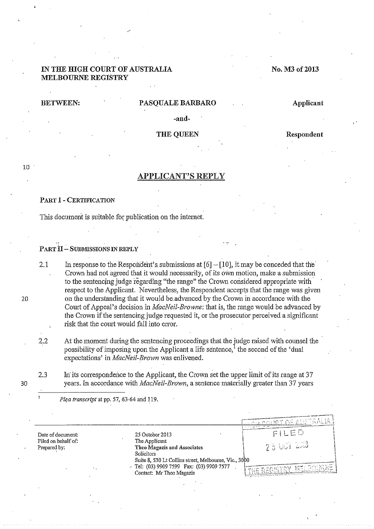# IN THE HIGH COURT OF AUSTRALIA MELBOURNE REGISTRY

# No. M3 of 2013

## BETWEEN: PASQUALE BARBARO Applicant

-and-

THE QUEEN Respondent

-T--~

 $\overline{r}$  of australia

# 10

# APPLICANT'S REPLY

## PART 1 -CERTIFICATION

This document is suitable for publication on the internet.

## $PART II - SUBMISSIONS IN REPLY$

2.1 In response to the Respondent's submissions at  $[6] - [10]$ , it may be conceded that the Crown had not agreed that it would necessarily, of its own motion, make a submission to the sentencing judge regarding "the range" the Crown considered appropriate with respect to the Applicant. Nevertheless, the Respondent accepts that the range was given on the understanding that it would be. advanced by the Crown in accordance with the Court of Appeal's decision in *MacNeil-Browne:* that is, the range would be advanced by the Crown if the sentencing judge requested it, or the prosecutor perceived a significant risk that the court would fall into error.

2.2 At the moment during the sentencing proceedings that the judge raised with counsel the possibility of imposing upon the Applicant a life sentence, $<sup>1</sup>$  the second of the 'dual</sup> expectations' in *MacNeil-Brown* was enlivened.

2.3 In its correspondence to the Applicant, the Crown set the upper limit of its range at 37 years. In accordance with *MacNeil-Brown,* a sentence materially greater than 37 years

*Plea transcript* at pp. 57, 63-64 and 119.

**Date of document:**  Filed on behalf of: Prepared by:

25 October 2013<br>The Applicant 11 25 October 2013  $\begin{bmatrix} 25 & 25 & \cdots & 25 \end{bmatrix}$ <br>The Applicant **Theo Magazis and Associates Solicitors** \ Suite 8, 530 Lt Collins street, Melbourne, Vic., 30p0 1 Tel: (03) 9909 7599 Fax: (03) 9909 7577 **Contact: Mr Theo Magazis** 

20

30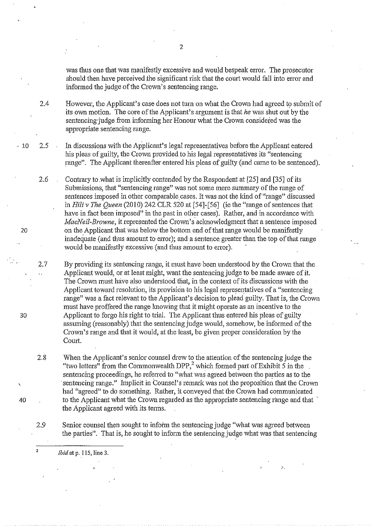was thus one that was manifestly excessive and would bespeak error. The prosecutor should then have perceived the significant risk that the court would fall into error and informed the judge of the Crown's sentencing range.

2.4 However, the Applicant's case does not turn on what the Crown had agreed to submit of its own motion. The core of the Applicant's argument is that *he* was shut out by the sentencing'judge from informing her Honour what the Crown considered was the appropriate sentencing range.

 $\cdot$  10 2.5 In discussions with the Applicant's legal representatives before the Applicant entered his pleas of gnilty, the Crown provided to his legal representatives its "sentencing range". The Applicant thereafter entered his pleas of guilty (and came to be sentenced).

> Contrary to .what is implicitly contended by the Respondent at [25] and [35] of its Submissions, that "sentencing range" was not some mere summary of the range of sentences imposed in other comparable cases. It was not the kind of "range" discussed in *Hili v The Queen* (2010) 242 CLR 520 at [54]-[56] (ie the "range of sentences that have in fact been imposed" in the past in other cases). Rather, and in accordance with *MacNeil-Browne,* it represented the Crown's acknowledgment that a sentence imposed on the Applicant that was below the bottom end of that range would be manifestly inadequate (and thus amount to error); and a sentence. greater than the top of that range would be manifestly excessive (and thus amount to error).

> By providing its sentencing range, it must have been understood by the Crown that the Applicant would, or at least might, want the sentencing judge to be made aware of it. The Crown must have also understood that, in the context of its discussions with the Applicant toward resolution, its provision to his legal representatives of a "sentencing range" was a fact relevant to the Applicant's decision to plead guilty. That is, the Crown must have proffered the range knowing that it might operate as an incentive to the Applicant to forgo his right to trial. The Applicant thus entered his pleas of guilty assuming (reasonably) that the sentencing judge wonld, somehow, be informed of the Crown's range and that it would, at the least, be given proper consideration by the Court.

2.8 When the Applicant's senior counsel drew to the attention of the sentencing judge the "two letters" from the Commonwealth DPP,<sup>2</sup> which formed part of Exhibit 5 in the sentencing proceedings, he referred to "what was agreed between the parties as to the sentencing range." Implicit in Counsel's remark was not the proposition that the Crown had "agreed" to do something. Rather, it conveyed that the Crown had communicated to the Applicant what the Crown regarded as the appropriate sentencing range and that the Applicant agreed with its terms.

Senior counsel then sought to inform the sentencing judge "what was agreed between the parties". That is, he sought to inform the sentencing judge what was that sentencing

*Ibid* at p. 115, line 3.

2.6

2.7

20

30

40

2.9

2

2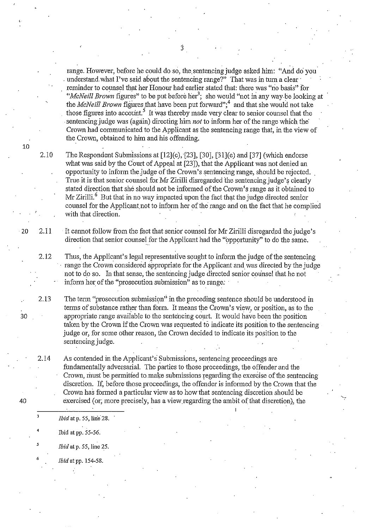range. However, before he could do so, the sentencing judge asked him: "And do you understand what I've said about the sentencing range?" That was in turn a clear reminder to counsel that her Honour had earlier stated that: there was "no basis" for "*McNeill Brown* figures" to be put before her<sup>3</sup>; she would "not in any way be looking at the *McNeill Brown* figures that have been put forward";<sup>4</sup> and that she would not take those figures into account.<sup>5</sup> It was thereby made very clear to senior counsel that the . sentencing judge was (again) directing him *not* to inform her of the range which the· Crown had communicated to the Applicant as the sentencing range that, in the view of the Crown, obtained to him and his offending.

2.10 The Respondent Submissions at  $[12]$ (c),  $[23]$ ,  $[30]$ ,  $[31]$ (c) and  $[37]$  (which endorse what was said by the Court of Appeal at [23]), that the Applicant was not denied an opportunity to inform the judge of the Crown's sentencing range, should be rejected. True it is that senior counsel for Mr Zirilli disregarded the sentencing judge's clearly stated direction that she should not be informed of the Crown's range as it obtained to Mr Zirilli.<sup>6</sup> But that in no way impacted upon the fact that the judge directed senior counsel for the Applicant not to inform her of the range and on the fact that he complied with that direction.

20 2.11 It cannot follow from the fact that senior counsel for Mr Zirilli disregarded the judge's direction that senior counsel for the Applicant had the "opportunity" to do the same.

2.12 Thus, the Applicant's legal representative sought to inform the judge of the sentencing range the Crown considered appropriate for the Applicant and was directed by the judge not to do so. In that sense, tbe sentencing judge directed senior counsel that he not inform her of the "prosecution submission" as to range:

The term "prosecution submission" in the preceding sentence should be understood in terms of substance rather than form. It means the Crown's view, or position, as to the appropriate range available to the sentencing court. It would have been the position taken by the Crown if the Crown was requested to indicate its position to the sentencing judge or, for some other reason, the Crown decided to indicate its position to the sentencing judge.

As contended in the Applicant's Submissions, sentencing proceedings are fundamentally adversarial. The parties to those proceedings, the offender and the Crown, must be permitted to make submissions regarding the exercise of the sentencing discretion. If, before those proceedings, the offender is informed by the Crown that the Crown has formed a particular view as to how that sentencing discretion should be exercised (or; more precisely, has a view regarding the ambit of that discretion), the

'-

- *Ibid* at p. 55, line 28.
	- Ibid at pp. 55-56.
- *Ibid* at p. 55, line 25.
- *Ibid* at pp. 154-58.

10

2.13

30

40

2.14

4

5

6

 $\dot{3}$